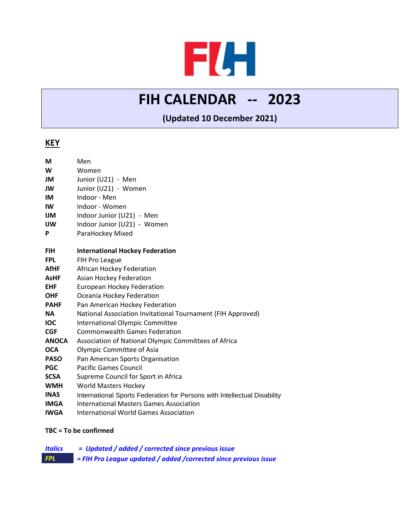# FLH

## **FIH CALENDAR -- 2023**

**(Updated 10 December 2021)**

### **KEY**

| M            | Men                                                                      |
|--------------|--------------------------------------------------------------------------|
| W            | Women                                                                    |
| JM           | Junior (U21) - Men                                                       |
| JW           | Junior (U21) - Women                                                     |
| IM           | Indoor - Men                                                             |
| IW           | Indoor - Women                                                           |
| IJМ          | Indoor Junior (U21) - Men                                                |
| IJW          | Indoor Junior (U21) - Women                                              |
| P            | ParaHockey Mixed                                                         |
|              |                                                                          |
| <b>FIH</b>   | <b>International Hockey Federation</b>                                   |
| <b>FPL</b>   | FIH Pro League                                                           |
| <b>AfHF</b>  | African Hockey Federation                                                |
| <b>AsHF</b>  | <b>Asian Hockey Federation</b>                                           |
| <b>EHF</b>   | <b>European Hockey Federation</b>                                        |
| <b>OHF</b>   | Oceania Hockey Federation                                                |
| <b>PAHF</b>  | Pan American Hockey Federation                                           |
| <b>NA</b>    | National Association Invitational Tournament (FIH Approved)              |
| <b>IOC</b>   | <b>International Olympic Committee</b>                                   |
| <b>CGF</b>   | <b>Commonwealth Games Federation</b>                                     |
| <b>ANOCA</b> | Association of National Olympic Committees of Africa                     |
| <b>OCA</b>   | Olympic Committee of Asia                                                |
| <b>PASO</b>  | Pan American Sports Organisation                                         |
| <b>PGC</b>   | <b>Pacific Games Council</b>                                             |
| <b>SCSA</b>  | Supreme Council for Sport in Africa                                      |
| <b>WMH</b>   | <b>World Masters Hockey</b>                                              |
| <b>INAS</b>  | International Sports Federation for Persons with Intellectual Disability |
| <b>IMGA</b>  | <b>International Masters Games Association</b>                           |
| <b>IWGA</b>  | <b>International World Games Association</b>                             |

#### **TBC = To be confirmed**

| <b>Italics</b> | = Updated / added / corrected since previous issue                |
|----------------|-------------------------------------------------------------------|
| <b>FPL</b>     | = FIH Pro League updated / added / corrected since previous issue |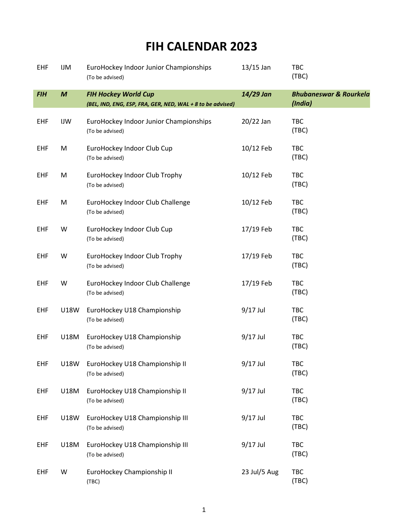## **FIH CALENDAR 2023**

| <b>EHF</b> | <b>IJM</b>       | EuroHockey Indoor Junior Championships<br>(To be advised)                                 | $13/15$ Jan  | TBC<br>(TBC)                                 |
|------------|------------------|-------------------------------------------------------------------------------------------|--------------|----------------------------------------------|
| <b>FIH</b> | $\boldsymbol{M}$ | <b>FIH Hockey World Cup</b><br>(BEL, IND, ENG, ESP, FRA, GER, NED, WAL + 8 to be advised) | 14/29 Jan    | <b>Bhubaneswar &amp; Rourkela</b><br>(India) |
| EHF        | IJW              | EuroHockey Indoor Junior Championships<br>(To be advised)                                 | 20/22 Jan    | TBC<br>(TBC)                                 |
| EHF        | M                | EuroHockey Indoor Club Cup<br>(To be advised)                                             | 10/12 Feb    | TBC<br>(TBC)                                 |
| EHF        | M                | EuroHockey Indoor Club Trophy<br>(To be advised)                                          | 10/12 Feb    | <b>TBC</b><br>(TBC)                          |
| EHF        | M                | EuroHockey Indoor Club Challenge<br>(To be advised)                                       | 10/12 Feb    | TBC<br>(TBC)                                 |
| EHF        | W                | EuroHockey Indoor Club Cup<br>(To be advised)                                             | 17/19 Feb    | <b>TBC</b><br>(TBC)                          |
| EHF        | W                | EuroHockey Indoor Club Trophy<br>(To be advised)                                          | 17/19 Feb    | <b>TBC</b><br>(TBC)                          |
| EHF        | W                | EuroHockey Indoor Club Challenge<br>(To be advised)                                       | 17/19 Feb    | <b>TBC</b><br>(TBC)                          |
| <b>EHF</b> | <b>U18W</b>      | EuroHockey U18 Championship<br>(To be advised)                                            | $9/17$ Jul   | <b>TBC</b><br>(TBC)                          |
| EHF        | U18M             | EuroHockey U18 Championship<br>(To be advised)                                            | $9/17$ Jul   | TBC<br>(TBC)                                 |
| EHF        | U18W             | EuroHockey U18 Championship II<br>(To be advised)                                         | $9/17$ Jul   | TBC<br>(TBC)                                 |
| <b>EHF</b> | U18M             | EuroHockey U18 Championship II<br>(To be advised)                                         | $9/17$ Jul   | TBC<br>(TBC)                                 |
| EHF        | U18W             | EuroHockey U18 Championship III<br>(To be advised)                                        | 9/17 Jul     | TBC<br>(TBC)                                 |
| EHF        | U18M             | EuroHockey U18 Championship III<br>(To be advised)                                        | 9/17 Jul     | TBC<br>(TBC)                                 |
| <b>EHF</b> | W                | EuroHockey Championship II<br>(TBC)                                                       | 23 Jul/5 Aug | TBC<br>(TBC)                                 |